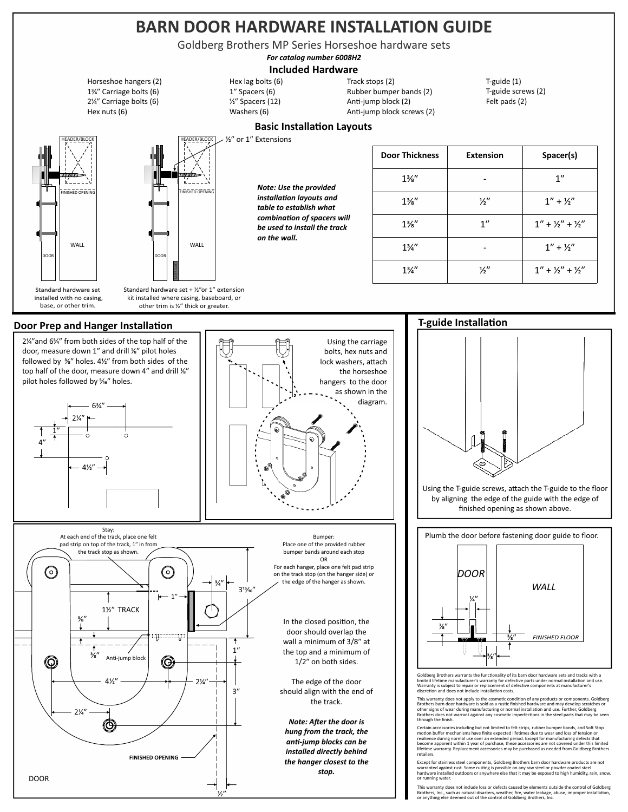## **BARN DOOR HARDWARE INSTALLATION GUIDE**

Goldberg Brothers MP Series Horseshoe hardware sets

*For catalog number 6008H2*

## **Included Hardware**

**Basic Installation Layouts** 

1<sup>3</sup>⁄4" Carriage bolts (6) Horseshoe hangers (2) 2⁄ʺ Carriage bolts (6) Hex nuts (6)



HEADER/BLOCK FINISHED OPENING **FINISHED OPENING** WALL WALL

> Standard hardware set + ½"or 1" extension kit installed where casing, baseboard, or other trim is ½" thick or greater.

BASEBOARD

*Note: Use the provided installation layouts and table to establish what*   $combination of spaces will$ *be used to install the track on the wall.* 

 $\frac{1}{2}$  or 1" Extensions

Hex lag bolts (6) ⁄ʺ Spacers (12) Washers (6) 1" Spacers (6)

| Track stops (2)            |
|----------------------------|
| Rubber bumper bands (2)    |
| Anti-jump block (2)        |
| Anti-jump block screws (2) |

 $T$ -guide (1) Felt pads (2) T-guide screws (2)

## **Door Thickness Extension Spacer(s)**  $1\frac{3}{8}$ " - 1"  $1\frac{3}{8}$ "  $\frac{1}{2}$ "  $\frac{1}{1}$ "  $\frac{1}{2}$ "  $1\frac{3}{8}$ " 1"  $1\frac{1}{1} + \frac{1}{2} + \frac{1}{2}$ "  $1\frac{3}{4}$ " -  $1'' + \frac{1}{2}$ "  $1\frac{3}{4}$ "  $\frac{1}{2}$ "  $1$ " +  $\frac{1}{2}$ " +  $\frac{1}{2}$ "

## **Door Prep and Hanger Installation**







Using the T-guide screws, attach the T-guide to the floor by aligning the edge of the guide with the edge of finished opening as shown above.

Plumb the door before fastening door guide to floor.



Goldberg Brothers warrants the functionality of its barn door hardware sets and tracks with a limited lifetime manufacturer's warranty for defective parts under normal installation and use. Warranty is subject to repair or replacement of defective components at manufacturer's<br>discretion and does not include installation costs.

This warranty does not apply to the cosmetic condition of any products or components. Goldberg<br>Brothers barn door hardware is sold as a rustic finished hardware and may develop scratches or<br>other signs of wear during manuf

Certain accessories including but not limited to felt strips, rubber bumper bands, and Soft Stop<br>motion buffer mechanisms have finite expected lifetimes due to wear and loss of tension or<br>resilience during normal use over retailers.

Except for stainless steel components, Goldberg Brothers barn door hardware products are not<br>warranted against rust. Some rusting is possible on any raw steel or powder coated steel<br>hardware installed outdoors or anywhere or running water.

This warranty does not include loss or defects caused by elements outside the control of Goldberg<br>Brothers, Inc., such as natural disasters, weather, fire, water leakage, abuse, improper installation,<br>or anything else deem